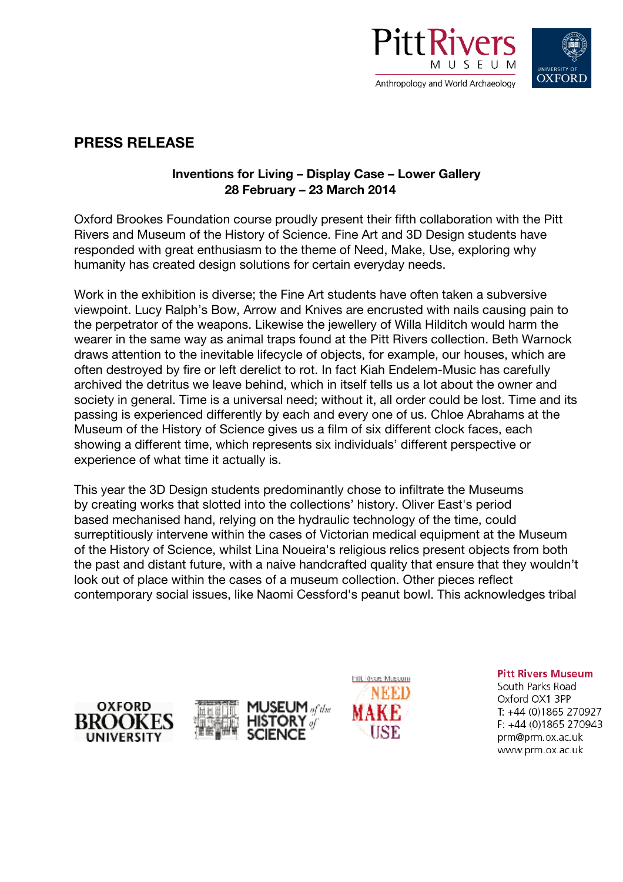



# **PRESS RELEASE**

# **Inventions for Living – Display Case – Lower Gallery 28 February – 23 March 2014**

Oxford Brookes Foundation course proudly present their fifth collaboration with the Pitt Rivers and Museum of the History of Science. Fine Art and 3D Design students have responded with great enthusiasm to the theme of Need, Make, Use, exploring why humanity has created design solutions for certain everyday needs.

Work in the exhibition is diverse; the Fine Art students have often taken a subversive viewpoint. Lucy Ralph's Bow, Arrow and Knives are encrusted with nails causing pain to the perpetrator of the weapons. Likewise the jewellery of Willa Hilditch would harm the wearer in the same way as animal traps found at the Pitt Rivers collection. Beth Warnock draws attention to the inevitable lifecycle of objects, for example, our houses, which are often destroyed by fire or left derelict to rot. In fact Kiah Endelem-Music has carefully archived the detritus we leave behind, which in itself tells us a lot about the owner and society in general. Time is a universal need; without it, all order could be lost. Time and its passing is experienced differently by each and every one of us. Chloe Abrahams at the Museum of the History of Science gives us a film of six different clock faces, each showing a different time, which represents six individuals' different perspective or experience of what time it actually is.

This year the 3D Design students predominantly chose to infiltrate the Museums by creating works that slotted into the collections' history. Oliver East's period based mechanised hand, relying on the hydraulic technology of the time, could surreptitiously intervene within the cases of Victorian medical equipment at the Museum of the History of Science, whilst Lina Noueira's religious relics present objects from both the past and distant future, with a naive handcrafted quality that ensure that they wouldn't look out of place within the cases of a museum collection. Other pieces reflect contemporary social issues, like Naomi Cessford's peanut bowl. This acknowledges tribal







**Pitt Rivers Museum** 

South Parks Road Oxford OX1 3PP T: +44 (0)1865 270927 F: +44 (0)1865 270943 prm@prm.ox.ac.uk www.prm.ox.ac.uk